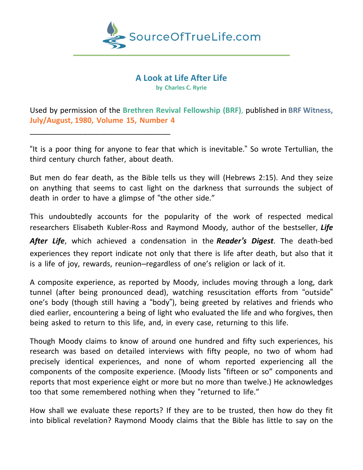

**A Look at Life After Life by Charles C. Ryrie**

Used by permission of the **Brethren Revival Fellowship (BRF)**, published in **BRF Witness, July/August, 1980, Volume 15, Number 4**

\_\_\_\_\_\_\_\_\_\_\_\_\_\_\_\_\_\_\_\_\_\_\_\_\_\_\_\_\_\_\_\_\_\_

"It is a poor thing for anyone to fear that which is inevitable." So wrote Tertullian, the third century church father, about death.

But men do fear death, as the Bible tells us they will (Hebrews 2:15). And they seize on anything that seems to cast light on the darkness that surrounds the subject of death in order to have a glimpse of "the other side."

This undoubtedly accounts for the popularity of the work of respected medical researchers Elisabeth Kubler-Ross and Raymond Moody, author of the bestseller, *Life*

*After Life*, which achieved a condensation in the *Reader's Digest*. The death-bed experiences they report indicate not only that there is life after death, but also that it is a life of joy, rewards, reunion–regardless of one's religion or lack of it.

A composite experience, as reported by Moody, includes moving through a long, dark tunnel (after being pronounced dead), watching resuscitation efforts from "outside" one's body (though still having a "body"), being greeted by relatives and friends who died earlier, encountering a being of light who evaluated the life and who forgives, then being asked to return to this life, and, in every case, returning to this life.

Though Moody claims to know of around one hundred and fifty such experiences, his research was based on detailed interviews with fifty people, no two of whom had precisely identical experiences, and none of whom reported experiencing all the components of the composite experience. (Moody lists "fifteen or so" components and reports that most experience eight or more but no more than twelve.) He acknowledges too that some remembered nothing when they "returned to life."

How shall we evaluate these reports? If they are to be trusted, then how do they fit into biblical revelation? Raymond Moody claims that the Bible has little to say on the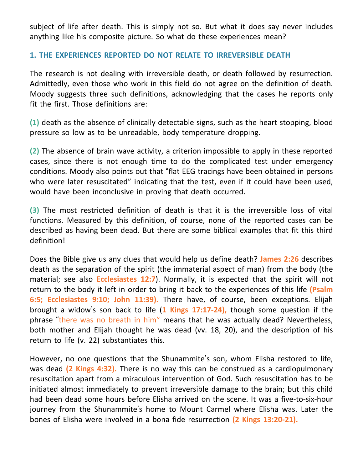subject of life after death. This is simply not so. But what it does say never includes anything like his composite picture. So what do these experiences mean?

## **1. THE EXPERIENCES REPORTED DO NOT RELATE TO IRREVERSIBLE DEATH**

The research is not dealing with irreversible death, or death followed by resurrection. Admittedly, even those who work in this field do not agree on the definition of death. Moody suggests three such definitions, acknowledging that the cases he reports only fit the first. Those definitions are:

**(1)** death as the absence of clinically detectable signs, such as the heart stopping, blood pressure so low as to be unreadable, body temperature dropping.

**(2)** The absence of brain wave activity, a criterion impossible to apply in these reported cases, since there is not enough time to do the complicated test under emergency conditions. Moody also points out that "flat EEG tracings have been obtained in persons who were later resuscitated" indicating that the test, even if it could have been used, would have been inconclusive in proving that death occurred.

**(3)** The most restricted definition of death is that it is the irreversible loss of vital functions. Measured by this definition, of course, none of the reported cases can be described as having been dead. But there are some biblical examples that fit this third definition!

Does the Bible give us any clues that would help us define death? **James 2:26** describes death as the separation of the spirit (the immaterial aspect of man) from the body (the material; see also **Ecclesiastes 12:7**). Normally, it is expected that the spirit will not return to the body it left in order to bring it back to the experiences of this life **(Psalm 6:5; Ecclesiastes 9:10; John 11:39).** There have, of course, been exceptions. Elijah brought a widow's son back to life (**1 Kings 17:17-24),** though some question if the phrase "there was no breath in him" means that he was actually dead? Nevertheless, both mother and Elijah thought he was dead (vv. 18, 20), and the description of his return to life (v. 22) substantiates this.

However, no one questions that the Shunammite's son, whom Elisha restored to life, was dead **(2 Kings 4:32).** There is no way this can be construed as a cardiopulmonary resuscitation apart from a miraculous intervention of God. Such resuscitation has to be initiated almost immediately to prevent irreversible damage to the brain; but this child had been dead some hours before Elisha arrived on the scene. It was a five-to-six-hour journey from the Shunammite's home to Mount Carmel where Elisha was. Later the bones of Elisha were involved in a bona fide resurrection **(2 Kings 13:20-21).**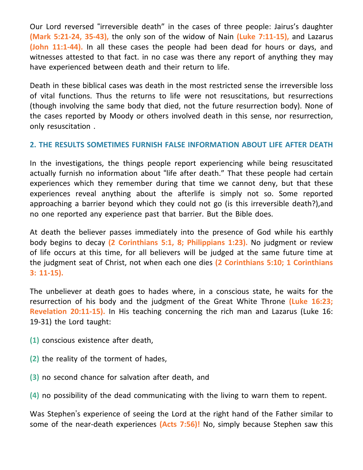Our Lord reversed "irreversible death" in the cases of three people: Jairus's daughter **(Mark 5:21-24, 35-43),** the only son of the widow of Nain **(Luke 7:11-15),** and Lazarus **(John 11:1-44).** In all these cases the people had been dead for hours or days, and witnesses attested to that fact. in no case was there any report of anything they may have experienced between death and their return to life.

Death in these biblical cases was death in the most restricted sense the irreversible loss of vital functions. Thus the returns to life were not resuscitations, but resurrections (though involving the same body that died, not the future resurrection body). None of the cases reported by Moody or others involved death in this sense, nor resurrection, only resuscitation .

## **2. THE RESULTS SOMETIMES FURNISH FALSE INFORMATION ABOUT LIFE AFTER DEATH**

In the investigations, the things people report experiencing while being resuscitated actually furnish no information about "life after death." That these people had certain experiences which they remember during that time we cannot deny, but that these experiences reveal anything about the afterlife is simply not so. Some reported approaching a barrier beyond which they could not go (is this irreversible death?),and no one reported any experience past that barrier. But the Bible does.

At death the believer passes immediately into the presence of God while his earthly body begins to decay **(2 Corinthians 5:1, 8; Philippians 1:23).** No judgment or review of life occurs at this time, for all believers will be judged at the same future time at the judgment seat of Christ, not when each one dies **(2 Corinthians 5:10; 1 Corinthians 3: 11-15).**

The unbeliever at death goes to hades where, in a conscious state, he waits for the resurrection of his body and the judgment of the Great White Throne **(Luke 16:23; Revelation 20:11-15).** In His teaching concerning the rich man and Lazarus (Luke 16: 19-31) the Lord taught:

- **(1)** conscious existence after death,
- **(2)** the reality of the torment of hades,
- **(3)** no second chance for salvation after death, and
- **(4)** no possibility of the dead communicating with the living to warn them to repent.

Was Stephen's experience of seeing the Lord at the right hand of the Father similar to some of the near-death experiences **(Acts 7:56)!** No, simply because Stephen saw this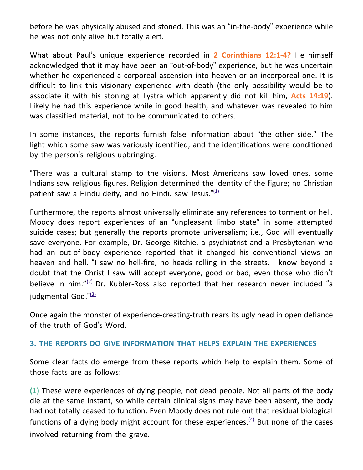before he was physically abused and stoned. This was an "in-the-body" experience while he was not only alive but totally alert.

What about Paul's unique experience recorded in **2 Corinthians 12:1-4?** He himself acknowledged that it may have been an "out-of-body" experience, but he was uncertain whether he experienced a corporeal ascension into heaven or an incorporeal one. It is difficult to link this visionary experience with death (the only possibility would be to associate it with his stoning at Lystra which apparently did not kill him, **Acts 14:19**). Likely he had this experience while in good health, and whatever was revealed to him was classified material, not to be communicated to others.

In some instances, the reports furnish false information about "the other side." The light which some saw was variously identified, and the identifications were conditioned by the person's religious upbringing.

"There was a cultural stamp to the visions. Most Americans saw loved ones, some Indians saw religious figures. Religion determined the identity of the figure; no Christian patient saw a Hindu deity, and no Hindu saw Jesus." $\frac{1}{12}$ 

Furthermore, the reports almost universally eliminate any references to torment or hell. Moody does report experiences of an "unpleasant limbo state" in some attempted suicide cases; but generally the reports promote universalism; i.e., God will eventually save everyone. For example, Dr. George Ritchie, a psychiatrist and a Presbyterian who had an out-of-body experience reported that it changed his conventional views on heaven and hell. "I saw no hell-fire, no heads rolling in the streets. I know beyond a doubt that the Christ I saw will accept everyone, good or bad, even those who didn't believe in him."<sup>[\(2\)](http://www.brfwitness.org/a-look-at-life-after-life/#N_2_)</sup> Dr. Kubler-Ross also reported that her research never included "a judgmental God."<sup>[\(3\)](http://www.brfwitness.org/a-look-at-life-after-life/#N_3_)</sup>

Once again the monster of experience-creating-truth rears its ugly head in open defiance of the truth of God's Word.

## **3. THE REPORTS DO GIVE INFORMATION THAT HELPS EXPLAIN THE EXPERIENCES**

Some clear facts do emerge from these reports which help to explain them. Some of those facts are as follows:

**(1)** These were experiences of dying people, not dead people. Not all parts of the body die at the same instant, so while certain clinical signs may have been absent, the body had not totally ceased to function. Even Moody does not rule out that residual biological functions of a dying body might account for these experiences.<sup>[\(4\)](http://www.brfwitness.org/a-look-at-life-after-life/#N_4_)</sup> But none of the cases involved returning from the grave.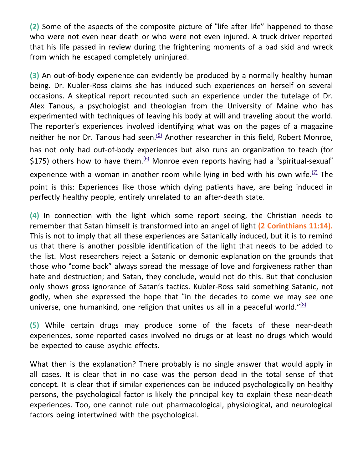**(2)** Some of the aspects of the composite picture of "life after life" happened to those who were not even near death or who were not even injured. A truck driver reported that his life passed in review during the frightening moments of a bad skid and wreck from which he escaped completely uninjured.

**(3)** An out-of-body experience can evidently be produced by a normally healthy human being. Dr. Kubler-Ross claims she has induced such experiences on herself on several occasions. A skeptical report recounted such an experience under the tutelage of Dr. Alex Tanous, a psychologist and theologian from the University of Maine who has experimented with techniques of leaving his body at will and traveling about the world. The reporter's experiences involved identifying what was on the pages of a magazine neither he nor Dr. Tanous had seen. $(5)$  Another researcher in this field, Robert Monroe, has not only had out-of-body experiences but also runs an organization to teach (for \$175) others how to have them. $66$  Monroe even reports having had a "spiritual-sexual" experience with a woman in another room while lying in bed with his own wife.<sup> $(7)$ </sup> The point is this: Experiences like those which dying patients have, are being induced in perfectly healthy people, entirely unrelated to an after-death state.

**(4)** In connection with the light which some report seeing, the Christian needs to remember that Satan himself is transformed into an angel of light **(2 Corinthians 11:14).** This is not to imply that all these experiences are Satanically induced, but it is to remind us that there is another possible identification of the light that needs to be added to the list. Most researchers reject a Satanic or demonic explanation on the grounds that those who "come back" always spread the message of love and forgiveness rather than hate and destruction; and Satan, they conclude, would not do this. But that conclusion only shows gross ignorance of Satan's tactics. Kubler-Ross said something Satanic, not godly, when she expressed the hope that "in the decades to come we may see one universe, one humankind, one religion that unites us all in a peaceful world."<sup>[\(8\)](http://www.brfwitness.org/a-look-at-life-after-life/#N_8_)</sup>

**(5)** While certain drugs may produce some of the facets of these near-death experiences, some reported cases involved no drugs or at least no drugs which would be expected to cause psychic effects.

What then is the explanation? There probably is no single answer that would apply in all cases. It is clear that in no case was the person dead in the total sense of that concept. It is clear that if similar experiences can be induced psychologically on healthy persons, the psychological factor is likely the principal key to explain these near-death experiences. Too, one cannot rule out pharmacological, physiological, and neurological factors being intertwined with the psychological.